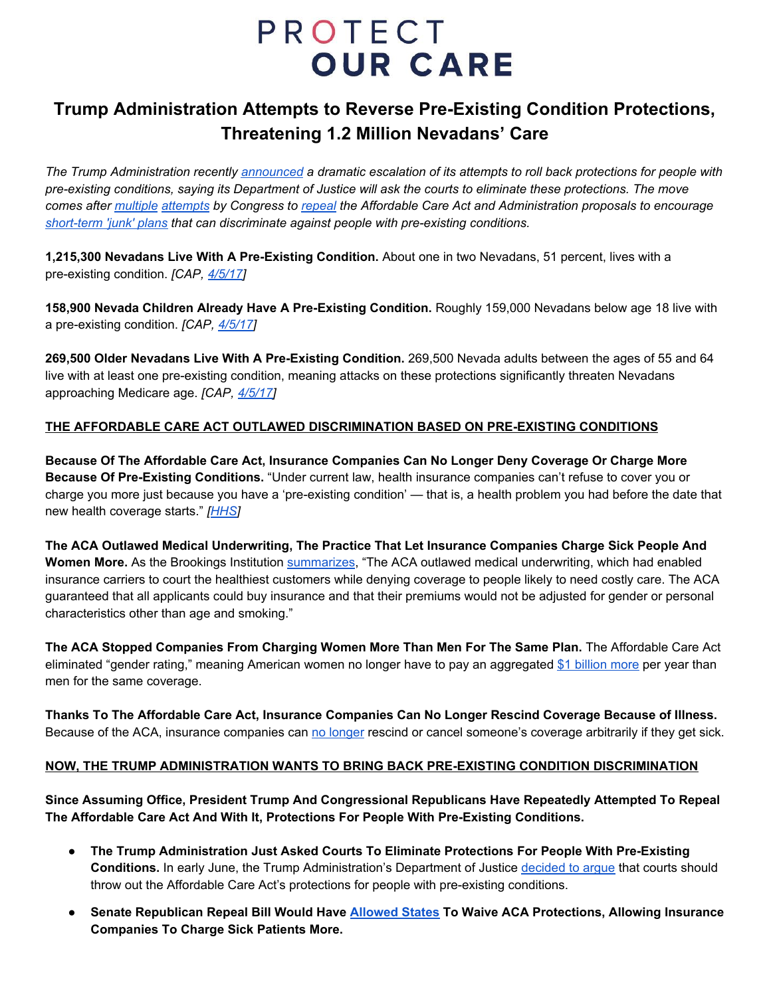# **PROTECT OUR CARE**

## **Trump Administration Attempts to Reverse Pre-Existing Condition Protections, Threatening 1.2 Million Nevadans' Care**

The Trump Administration recently [announced](https://www.npr.org/2018/06/08/618263772/trump-administration-move-imperils-pre-existing-condition-protections) a dramatic escalation of its attempts to roll back protections for people with pre-existing conditions, saying its Department of Justice will ask the courts to eliminate these protections. The move comes after [multiple](https://www.brookings.edu/blog/up-front/2017/04/27/new-amendment-to-gop-health-bill-effectively-allows-full-elimination-of-community-rating-exposing-sick-to-higher-premiums/) [attempts](https://www.vox.com/policy-and-politics/2017/9/18/16330574/cassidy-graham-preexisting-conditions) by Congress to [repeal](https://www.washingtonpost.com/news/fact-checker/wp/2017/06/28/what-you-need-to-know-about-preexisting-conditions-in-the-senate-gop-health-plan/?utm_term=.eb29a00a2de6) the Affordable Care Act and Administration proposals to encourage *[short-term](https://www.vox.com/policy-and-politics/2018/2/22/17033588/trump-obamacare-preexisting-conditions) 'junk' plans that can discriminate against people with pre-existing conditions.*

**1,215,300 Nevadans Live With A Pre-Existing Condition.** About one in two Nevadans, 51 percent, lives with a pre-existing condition. *[CAP, [4/5/17\]](https://www.americanprogress.org/issues/healthcare/news/2017/04/05/430059/number-americans-pre-existing-conditions-congressional-district/)*

**158,900 Nevada Children Already Have A Pre-Existing Condition.** Roughly 159,000 Nevadans below age 18 live with a pre-existing condition. *[CAP, [4/5/17](https://www.americanprogress.org/issues/healthcare/news/2017/04/05/430059/number-americans-pre-existing-conditions-congressional-district/)]*

**269,500 Older Nevadans Live With A Pre-Existing Condition.** 269,500 Nevada adults between the ages of 55 and 64 live with at least one pre-existing condition, meaning attacks on these protections significantly threaten Nevadans approaching Medicare age. *[CAP, [4/5/17\]](https://www.americanprogress.org/issues/healthcare/news/2017/04/05/430059/number-americans-pre-existing-conditions-congressional-district/)*

### **THE AFFORDABLE CARE ACT OUTLAWED DISCRIMINATION BASED ON PRE-EXISTING CONDITIONS**

**Because Of The Affordable Care Act, Insurance Companies Can No Longer Deny Coverage Or Charge More Because Of Pre-Existing Conditions.** "Under current law, health insurance companies can't refuse to cover you or charge you more just because you have a 'pre-existing condition' — that is, a health problem you had before the date that new health coverage starts." *[\[HHS](https://www.hhs.gov/healthcare/about-the-aca/pre-existing-conditions/index.html)]*

**The ACA Outlawed Medical Underwriting, The Practice That Let Insurance Companies Charge Sick People And Women More.** As the Brookings Institution [summarizes](https://www.brookings.edu/opinions/what-the-aca-has-achieved-and-whats-next/), "The ACA outlawed medical underwriting, which had enabled insurance carriers to court the healthiest customers while denying coverage to people likely to need costly care. The ACA guaranteed that all applicants could buy insurance and that their premiums would not be adjusted for gender or personal characteristics other than age and smoking."

**The ACA Stopped Companies From Charging Women More Than Men For The Same Plan.** The Affordable Care Act eliminated "gender rating," meaning American women no longer have to pay an aggregated \$1 [billion](http://www.nwlc.org/sites/default/files/pdfs/nwlc_2012_turningtofairness_report.pdf) more per year than men for the same coverage.

**Thanks To The Affordable Care Act, Insurance Companies Can No Longer Rescind Coverage Because of Illness.** Because of the ACA, insurance companies can no [longer](https://www.rwjf.org/content/dam/farm/reports/issue_briefs/2011/rwjf71392) rescind or cancel someone's coverage arbitrarily if they get sick.

#### **NOW, THE TRUMP ADMINISTRATION WANTS TO BRING BACK PRE-EXISTING CONDITION DISCRIMINATION**

**Since Assuming Office, President Trump And Congressional Republicans Have Repeatedly Attempted To Repeal The Affordable Care Act And With It, Protections For People With Pre-Existing Conditions.**

- **The Trump Administration Just Asked Courts To Eliminate Protections For People With Pre-Existing Conditions.** In early June, the Trump Administration's Department of Justice [decided](http://www.latimes.com/opinion/la-ol-enter-the-fray-got-a-pre-existing-condition-the-trump-1528420144-htmlstory.html) to argue that courts should throw out the Affordable Care Act's protections for people with pre-existing conditions.
- **Senate Republican Repeal Bill Would Have [Allowed](https://www.washingtonpost.com/news/fact-checker/wp/2017/06/28/what-you-need-to-know-about-preexisting-conditions-in-the-senate-gop-health-plan/?utm_term=.f44f0704176d) States To Waive ACA Protections, Allowing Insurance Companies To Charge Sick Patients More.**